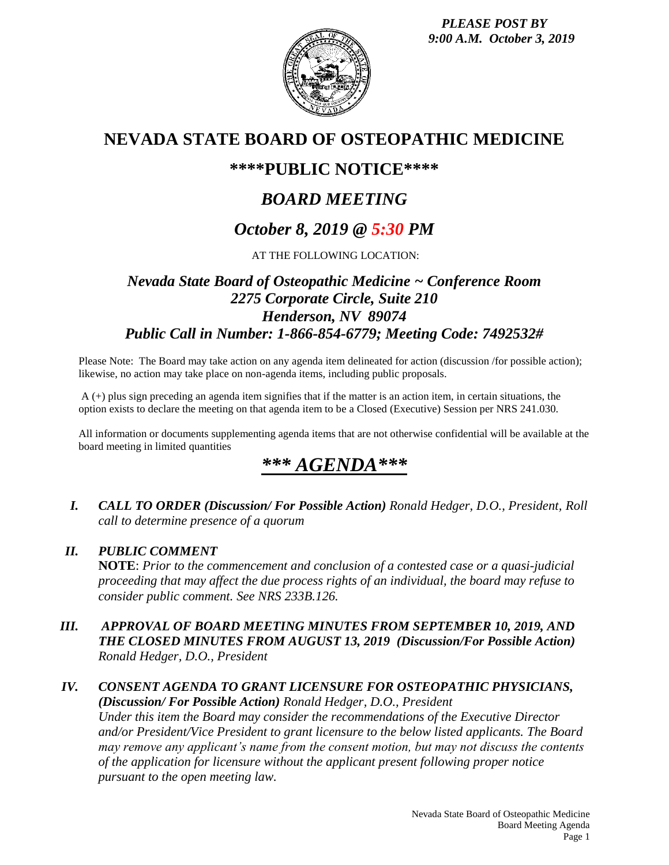*PLEASE POST BY 9:00 A.M. October 3, 2019*



## **NEVADA STATE BOARD OF OSTEOPATHIC MEDICINE**

### **\*\*\*\*PUBLIC NOTICE\*\*\*\***

# *BOARD MEETING*

### *October 8, 2019 @ 5:30 PM*

AT THE FOLLOWING LOCATION:

### *Nevada State Board of Osteopathic Medicine ~ Conference Room 2275 Corporate Circle, Suite 210 Henderson, NV 89074 Public Call in Number: 1-866-854-6779; Meeting Code: 7492532#*

Please Note: The Board may take action on any agenda item delineated for action (discussion /for possible action); likewise, no action may take place on non-agenda items, including public proposals.

A (+) plus sign preceding an agenda item signifies that if the matter is an action item, in certain situations, the option exists to declare the meeting on that agenda item to be a Closed (Executive) Session per NRS 241.030.

All information or documents supplementing agenda items that are not otherwise confidential will be available at the board meeting in limited quantities

## *\*\*\* AGENDA\*\*\**

*I. CALL TO ORDER (Discussion/ For Possible Action) Ronald Hedger, D.O., President, Roll call to determine presence of a quorum*

#### *II. PUBLIC COMMENT*

**NOTE**: *Prior to the commencement and conclusion of a contested case or a quasi-judicial proceeding that may affect the due process rights of an individual, the board may refuse to consider public comment. See NRS 233B.126.*

*III. APPROVAL OF BOARD MEETING MINUTES FROM SEPTEMBER 10, 2019, AND THE CLOSED MINUTES FROM AUGUST 13, 2019 (Discussion/For Possible Action) Ronald Hedger, D.O., President*

#### *IV. CONSENT AGENDA TO GRANT LICENSURE FOR OSTEOPATHIC PHYSICIANS,*

*(Discussion/ For Possible Action) Ronald Hedger, D.O., President Under this item the Board may consider the recommendations of the Executive Director and/or President/Vice President to grant licensure to the below listed applicants. The Board may remove any applicant's name from the consent motion, but may not discuss the contents of the application for licensure without the applicant present following proper notice pursuant to the open meeting law.*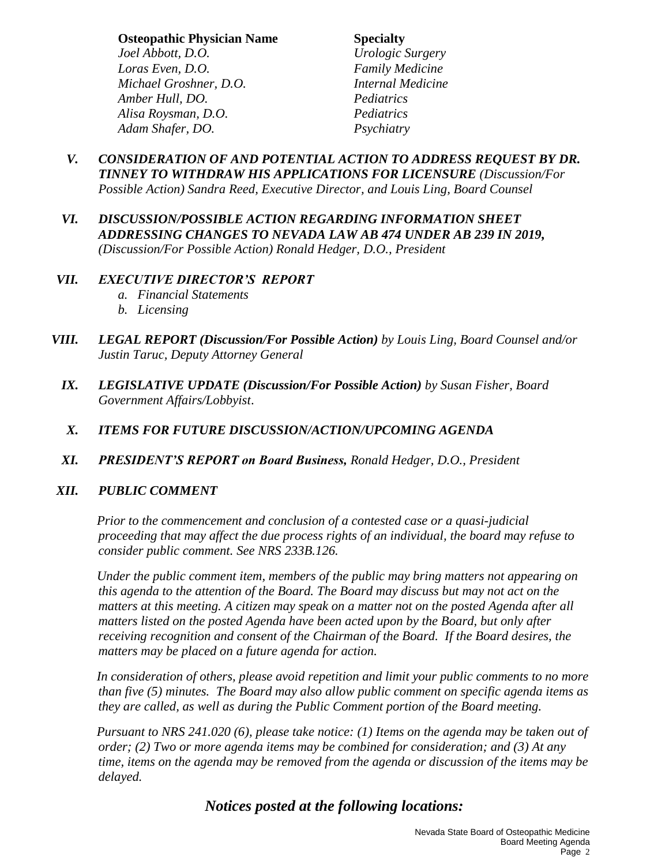**Osteopathic Physician Name Specialty** *Joel Abbott, D.O. Urologic Surgery Loras Even, D.O. Family Medicine Michael Groshner, D.O. Internal Medicine Amber Hull, DO. Pediatrics Alisa Roysman, D.O. Pediatrics Adam Shafer, DO. Psychiatry*

- *V. CONSIDERATION OF AND POTENTIAL ACTION TO ADDRESS REQUEST BY DR. TINNEY TO WITHDRAW HIS APPLICATIONS FOR LICENSURE (Discussion/For Possible Action) Sandra Reed, Executive Director, and Louis Ling, Board Counsel*
- *VI. DISCUSSION/POSSIBLE ACTION REGARDING INFORMATION SHEET ADDRESSING CHANGES TO NEVADA LAW AB 474 UNDER AB 239 IN 2019, (Discussion/For Possible Action) Ronald Hedger, D.O., President*

#### *VII. EXECUTIVE DIRECTOR'S REPORT*

- *a. Financial Statements*
- *b. Licensing*
- *VIII. LEGAL REPORT (Discussion/For Possible Action) by Louis Ling, Board Counsel and/or Justin Taruc, Deputy Attorney General* 
	- *IX. LEGISLATIVE UPDATE (Discussion/For Possible Action) by Susan Fisher, Board Government Affairs/Lobbyist*.
	- *X. ITEMS FOR FUTURE DISCUSSION/ACTION/UPCOMING AGENDA*
	- *XI. PRESIDENT'S REPORT on Board Business, Ronald Hedger, D.O., President*

#### *XII. PUBLIC COMMENT*

*Prior to the commencement and conclusion of a contested case or a quasi-judicial proceeding that may affect the due process rights of an individual, the board may refuse to consider public comment. See NRS 233B.126.*

*Under the public comment item, members of the public may bring matters not appearing on this agenda to the attention of the Board. The Board may discuss but may not act on the matters at this meeting. A citizen may speak on a matter not on the posted Agenda after all matters listed on the posted Agenda have been acted upon by the Board, but only after receiving recognition and consent of the Chairman of the Board. If the Board desires, the matters may be placed on a future agenda for action.*

*In consideration of others, please avoid repetition and limit your public comments to no more than five (5) minutes. The Board may also allow public comment on specific agenda items as they are called, as well as during the Public Comment portion of the Board meeting.* 

*Pursuant to NRS 241.020 (6), please take notice: (1) Items on the agenda may be taken out of order; (2) Two or more agenda items may be combined for consideration; and (3) At any time, items on the agenda may be removed from the agenda or discussion of the items may be delayed.*

### *Notices posted at the following locations:*